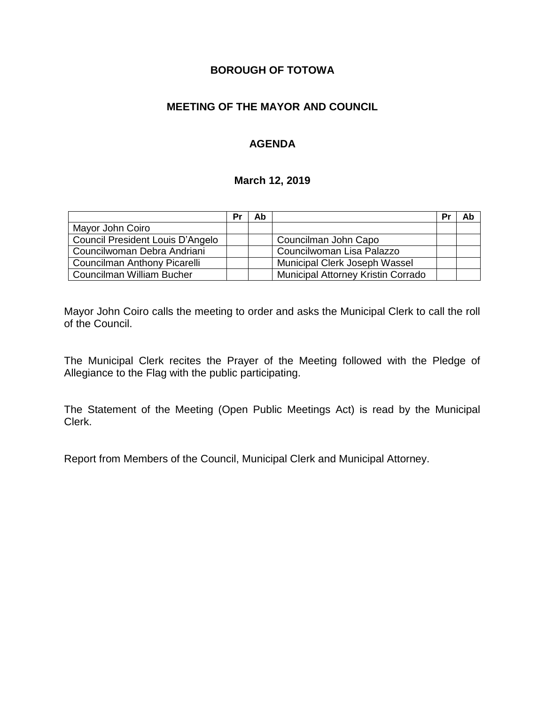## **BOROUGH OF TOTOWA**

## **MEETING OF THE MAYOR AND COUNCIL**

## **AGENDA**

#### **March 12, 2019**

|                                  | Pr | Ab |                                    | Pr | Ab |
|----------------------------------|----|----|------------------------------------|----|----|
| Mayor John Coiro                 |    |    |                                    |    |    |
| Council President Louis D'Angelo |    |    | Councilman John Capo               |    |    |
| Councilwoman Debra Andriani      |    |    | Councilwoman Lisa Palazzo          |    |    |
| Councilman Anthony Picarelli     |    |    | Municipal Clerk Joseph Wassel      |    |    |
| Councilman William Bucher        |    |    | Municipal Attorney Kristin Corrado |    |    |

Mayor John Coiro calls the meeting to order and asks the Municipal Clerk to call the roll of the Council.

The Municipal Clerk recites the Prayer of the Meeting followed with the Pledge of Allegiance to the Flag with the public participating.

The Statement of the Meeting (Open Public Meetings Act) is read by the Municipal Clerk.

Report from Members of the Council, Municipal Clerk and Municipal Attorney.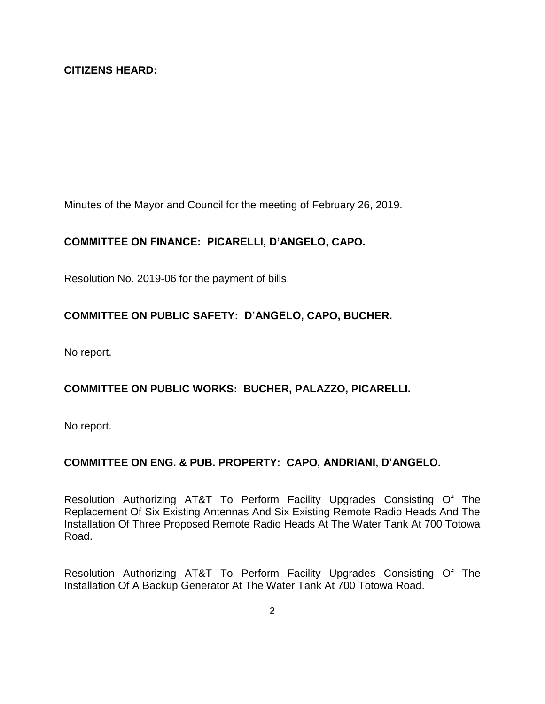Minutes of the Mayor and Council for the meeting of February 26, 2019.

# **COMMITTEE ON FINANCE: PICARELLI, D'ANGELO, CAPO.**

Resolution No. 2019-06 for the payment of bills.

# **COMMITTEE ON PUBLIC SAFETY: D'ANGELO, CAPO, BUCHER.**

No report.

# **COMMITTEE ON PUBLIC WORKS: BUCHER, PALAZZO, PICARELLI.**

No report.

#### **COMMITTEE ON ENG. & PUB. PROPERTY: CAPO, ANDRIANI, D'ANGELO.**

Resolution Authorizing AT&T To Perform Facility Upgrades Consisting Of The Replacement Of Six Existing Antennas And Six Existing Remote Radio Heads And The Installation Of Three Proposed Remote Radio Heads At The Water Tank At 700 Totowa Road.

Resolution Authorizing AT&T To Perform Facility Upgrades Consisting Of The Installation Of A Backup Generator At The Water Tank At 700 Totowa Road.